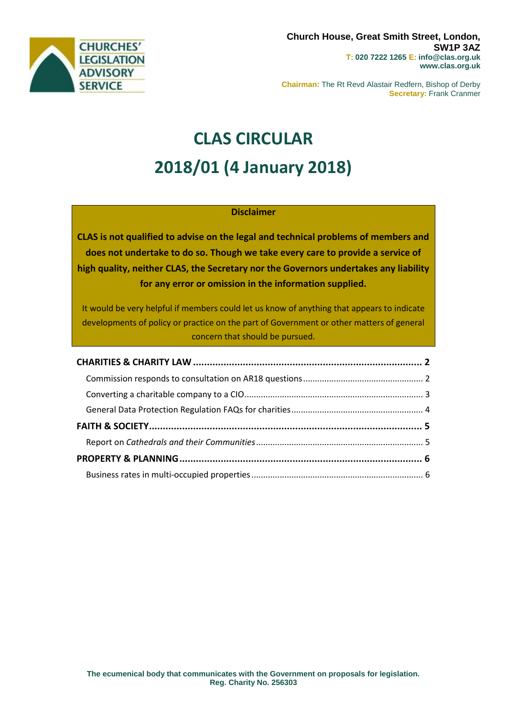

**Chairman:** The Rt Revd Alastair Redfern, Bishop of Derby **Secretary:** Frank Cranmer

# **CLAS CIRCULAR 2018/01 (4 January 2018)**

### **Disclaimer**

**CLAS is not qualified to advise on the legal and technical problems of members and does not undertake to do so. Though we take every care to provide a service of high quality, neither CLAS, the Secretary nor the Governors undertakes any liability for any error or omission in the information supplied.**

It would be very helpful if members could let us know of anything that appears to indicate developments of policy or practice on the part of Government or other matters of general concern that should be pursued.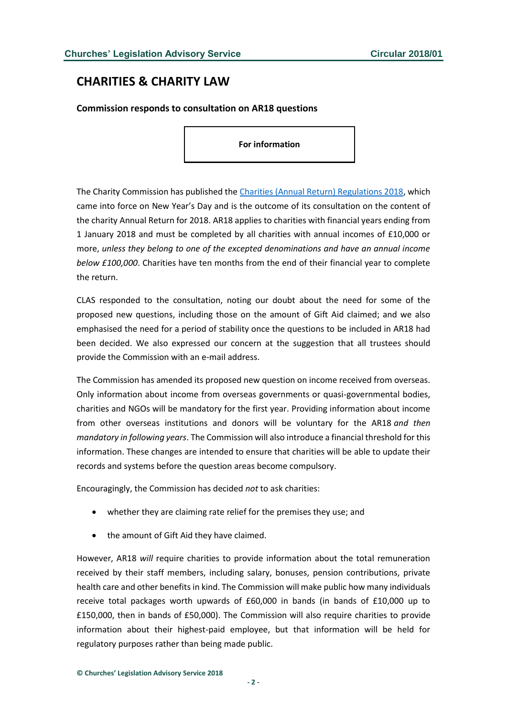## <span id="page-1-0"></span>**CHARITIES & CHARITY LAW**

<span id="page-1-1"></span>**Commission responds to consultation on AR18 questions**

**For information**

The Charity Commission has published the [Charities \(Annual Return\) Regulations 2018,](https://www.gov.uk/government/uploads/system/uploads/attachment_data/file/671287/The_Charities__annual_return__Regulations_-_2017.pdf) which came into force on New Year's Day and is the outcome of its consultation on the content of the charity Annual Return for 2018. AR18 applies to charities with financial years ending from 1 January 2018 and must be completed by all charities with annual incomes of £10,000 or more, *unless they belong to one of the excepted denominations and have an annual income below £100,000*. Charities have ten months from the end of their financial year to complete the return.

CLAS responded to the consultation, noting our doubt about the need for some of the proposed new questions, including those on the amount of Gift Aid claimed; and we also emphasised the need for a period of stability once the questions to be included in AR18 had been decided. We also expressed our concern at the suggestion that all trustees should provide the Commission with an e-mail address.

The Commission has amended its proposed new question on income received from overseas. Only information about income from overseas governments or quasi-governmental bodies, charities and NGOs will be mandatory for the first year. Providing information about income from other overseas institutions and donors will be voluntary for the AR18 *and then mandatory in following years*. The Commission will also introduce a financial threshold for this information. These changes are intended to ensure that charities will be able to update their records and systems before the question areas become compulsory.

Encouragingly, the Commission has decided *not* to ask charities:

- whether they are claiming rate relief for the premises they use; and
- the amount of Gift Aid they have claimed.

However, AR18 *will* require charities to provide information about the total remuneration received by their staff members, including salary, bonuses, pension contributions, private health care and other benefits in kind. The Commission will make public how many individuals receive total packages worth upwards of £60,000 in bands (in bands of £10,000 up to £150,000, then in bands of £50,000). The Commission will also require charities to provide information about their highest-paid employee, but that information will be held for regulatory purposes rather than being made public.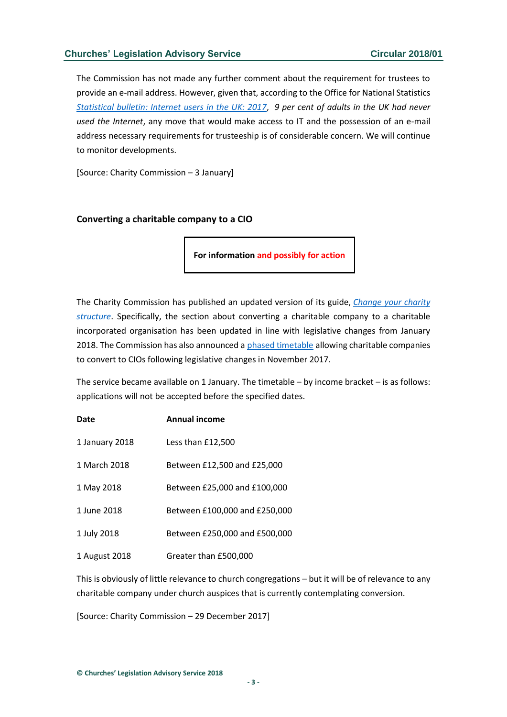The Commission has not made any further comment about the requirement for trustees to provide an e-mail address. However, given that, according to the Office for National Statistics *[Statistical bulletin: Internet users in the UK: 2017](https://www.ons.gov.uk/businessindustryandtrade/itandinternetindustry/bulletins/internetusers/2017#main-points)*, *9 per cent of adults in the UK had never used the Internet*, any move that would make access to IT and the possession of an e-mail address necessary requirements for trusteeship is of considerable concern. We will continue to monitor developments.

[Source: Charity Commission – 3 January]

#### <span id="page-2-0"></span>**Converting a charitable company to a CIO**

**For information and possibly for action**

The Charity Commission has published an updated version of its guide, *[Change your charity](https://www.gov.uk/guidance/change-your-charity-structure?utm_source=feedburner&utm_medium=email&utm_campaign=Feed%3A+CharityCommissionUpdates+%28Charity+Commission+updates%29)  [structure](https://www.gov.uk/guidance/change-your-charity-structure?utm_source=feedburner&utm_medium=email&utm_campaign=Feed%3A+CharityCommissionUpdates+%28Charity+Commission+updates%29)*. Specifically, the section about converting a charitable company to a charitable incorporated organisation has been updated in line with legislative changes from January 2018. The Commission has also announced a [phased timetable](https://www.gov.uk/guidance/legislative-changes-affecting-the-charitable-incorporated-organisation-cio) allowing charitable companies to convert to CIOs following legislative changes in November 2017.

The service became available on 1 January. The timetable – by income bracket – is as follows: applications will not be accepted before the specified dates.

| Date           | <b>Annual income</b>          |
|----------------|-------------------------------|
| 1 January 2018 | Less than £12,500             |
| 1 March 2018   | Between £12,500 and £25,000   |
| 1 May 2018     | Between £25,000 and £100,000  |
| 1 June 2018    | Between £100,000 and £250,000 |
| 1 July 2018    | Between £250,000 and £500,000 |
| 1 August 2018  | Greater than £500,000         |

This is obviously of little relevance to church congregations – but it will be of relevance to any charitable company under church auspices that is currently contemplating conversion.

[Source: Charity Commission – 29 December 2017]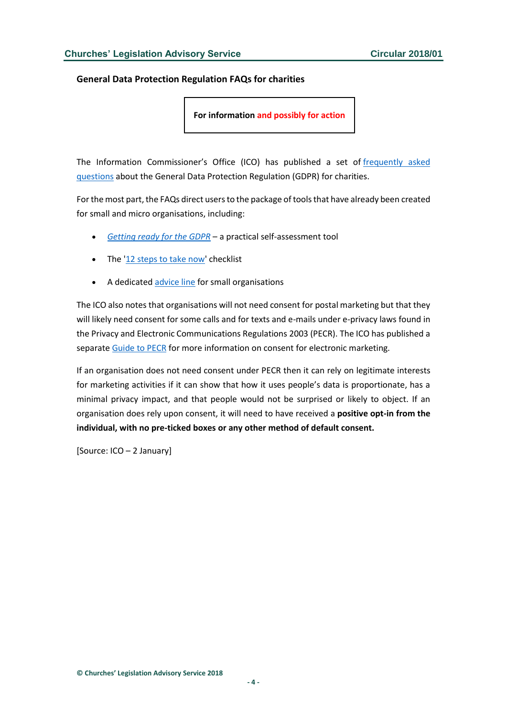#### <span id="page-3-0"></span>**General Data Protection Regulation FAQs for charities**

**For information and possibly for action**

The Information Commissioner's Office (ICO) has published a set of [frequently asked](http://ico.org.uk/for-organisations/charity/charities-faqs/)  [questions](http://ico.org.uk/for-organisations/charity/charities-faqs/) about the General Data Protection Regulation (GDPR) for charities.

For the most part, the FAQs direct users to the package of tools that have already been created for small and micro organisations, including:

- *[Getting ready for the GDPR](http://ico.org.uk/for-organisations/business/guide-to-the-general-data-protection-regulation-gdpr-faqs/)* a practical self-assessment tool
- The ['12 steps to take now'](http://ico.org.uk/media/for-organisations/documents/1624219/preparing-for-the-gdpr-12-steps.pdf) checklist
- A dedicated [advice line](http://ico.org.uk/global/contact-us/advice-service-for-small-organisations/) for small organisations

The ICO also notes that organisations will not need consent for postal marketing but that they will likely need consent for some calls and for texts and e-mails under e-privacy laws found in the Privacy and Electronic Communications Regulations 2003 (PECR). The ICO has published a separate [Guide to PECR](http://ico.org.uk/for-organisations/guide-to-pecr/) for more information on consent for electronic marketing.

If an organisation does not need consent under PECR then it can rely on legitimate interests for marketing activities if it can show that how it uses people's data is proportionate, has a minimal privacy impact, and that people would not be surprised or likely to object. If an organisation does rely upon consent, it will need to have received a **positive opt-in from the individual, with no pre-ticked boxes or any other method of default consent.**

[Source: ICO – 2 January]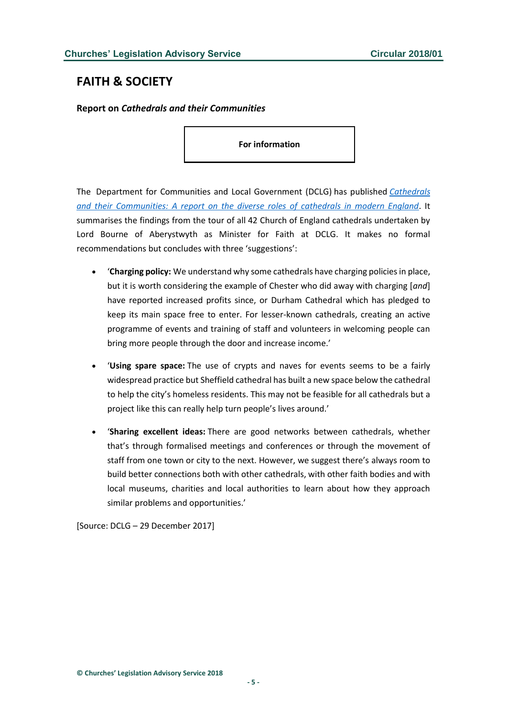## <span id="page-4-0"></span>**FAITH & SOCIETY**

#### <span id="page-4-1"></span>**Report on** *Cathedrals and their Communities*

**For information**

The Department for Communities and Local Government (DCLG) has published *[Cathedrals](https://www.gov.uk/government/uploads/system/uploads/attachment_data/file/671081/Cathedrals_and_their_communities.pdf)  [and their Communities: A report on the diverse roles of cathedrals in modern England](https://www.gov.uk/government/uploads/system/uploads/attachment_data/file/671081/Cathedrals_and_their_communities.pdf)*. It summarises the findings from the tour of all 42 Church of England cathedrals undertaken by Lord Bourne of Aberystwyth as Minister for Faith at DCLG. It makes no formal recommendations but concludes with three 'suggestions':

- '**Charging policy:** We understand why some cathedrals have charging policies in place, but it is worth considering the example of Chester who did away with charging [*and*] have reported increased profits since, or Durham Cathedral which has pledged to keep its main space free to enter. For lesser-known cathedrals, creating an active programme of events and training of staff and volunteers in welcoming people can bring more people through the door and increase income.'
- '**Using spare space:** The use of crypts and naves for events seems to be a fairly widespread practice but Sheffield cathedral has built a new space below the cathedral to help the city's homeless residents. This may not be feasible for all cathedrals but a project like this can really help turn people's lives around.'
- '**Sharing excellent ideas:** There are good networks between cathedrals, whether that's through formalised meetings and conferences or through the movement of staff from one town or city to the next. However, we suggest there's always room to build better connections both with other cathedrals, with other faith bodies and with local museums, charities and local authorities to learn about how they approach similar problems and opportunities.'

[Source: DCLG – 29 December 2017]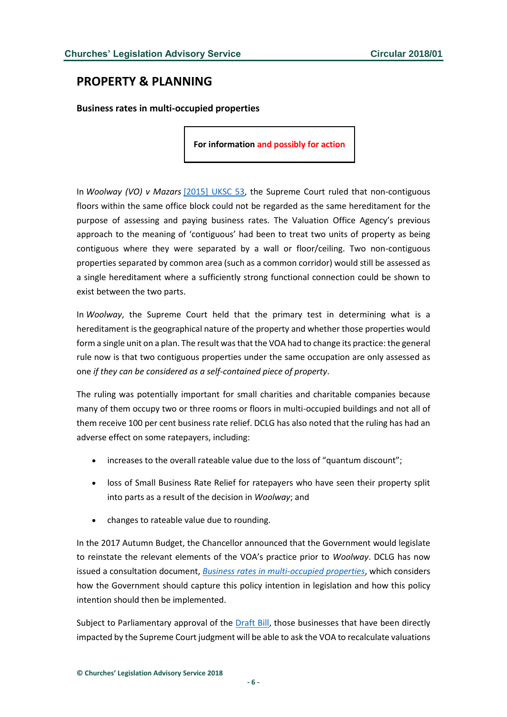## <span id="page-5-0"></span>**PROPERTY & PLANNING**

<span id="page-5-1"></span>**Business rates in multi-occupied properties**

**For information and possibly for action**

In *Woolway (VO) v Mazars* [\[2015\] UKSC 53,](http://www.bailii.org/uk/cases/UKSC/2015/53.html) the Supreme Court ruled that non-contiguous floors within the same office block could not be regarded as the same hereditament for the purpose of assessing and paying business rates. The Valuation Office Agency's previous approach to the meaning of 'contiguous' had been to treat two units of property as being contiguous where they were separated by a wall or floor/ceiling. Two non-contiguous properties separated by common area (such as a common corridor) would still be assessed as a single hereditament where a sufficiently strong functional connection could be shown to exist between the two parts.

In *Woolway*, the Supreme Court held that the primary test in determining what is a hereditament is the geographical nature of the property and whether those properties would form a single unit on a plan. The result was that the VOA had to change its practice: the general rule now is that two contiguous properties under the same occupation are only assessed as one *if they can be considered as a self-contained piece of property*.

The ruling was potentially important for small charities and charitable companies because many of them occupy two or three rooms or floors in multi-occupied buildings and not all of them receive 100 per cent business rate relief. DCLG has also noted that the ruling has had an adverse effect on some ratepayers, including:

- increases to the overall rateable value due to the loss of "quantum discount";
- loss of Small Business Rate Relief for ratepayers who have seen their property split into parts as a result of the decision in *Woolway*; and
- changes to rateable value due to rounding.

In the 2017 Autumn Budget, the Chancellor announced that the Government would legislate to reinstate the relevant elements of the VOA's practice prior to *Woolway*. DCLG has now issued a consultation document, *[Business rates in multi-occupied properties](https://www.gov.uk/government/uploads/system/uploads/attachment_data/file/670690/Business_rates_in_multi-occupied_properties.pdf)*, which considers how the Government should capture this policy intention in legislation and how this policy intention should then be implemented.

Subject to Parliamentary approval of the [Draft Bill,](https://www.gov.uk/government/uploads/system/uploads/attachment_data/file/670692/Draft_Bill.pdf) those businesses that have been directly impacted by the Supreme Court judgment will be able to ask the VOA to recalculate valuations